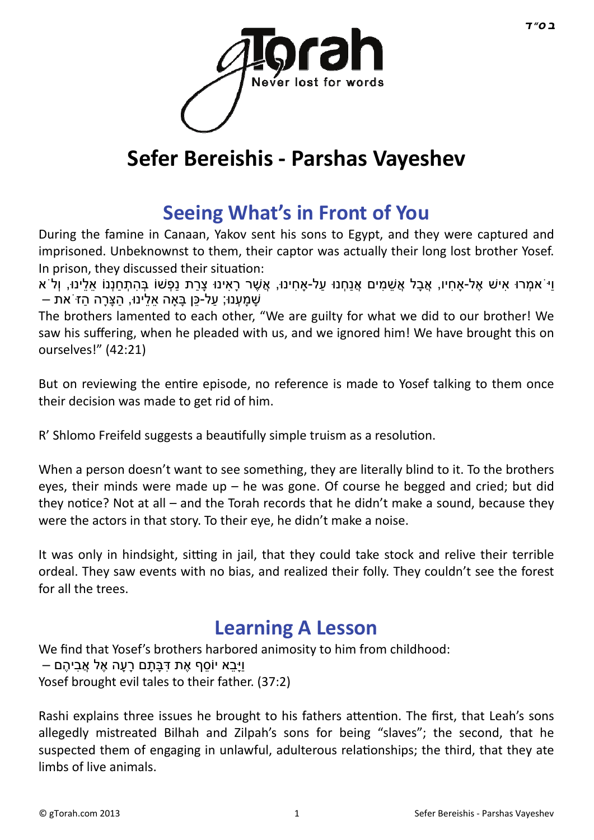

# **Sefer Bereishis - Parshas Vayeshev**

### **[Seeing What's in Front of You](http://gtorah.com/2012/12/07/seeing-whats-in-front-of-you/)**

During the famine in Canaan, Yakov sent his sons to Egypt, and they were captured and imprisoned. Unbeknownst to them, their captor was actually their long lost brother Yosef. In prison, they discussed their situation:

ּוּ אִמְרוּ אִישׁ אֶל-אַחִיו, אֲבַל אֲשִׁמִים אֱנַחְנוּ על-אַחִינוּ, אֱשֶׁר רַאִינוּ צַרַת נַפְשׁוֹ בְּהֹתְחַנְנוֹ אלִינוּ, וְלֹא שַׁמַעְנוּ; עַל-כַּן בַּאָה אַלינוּ, הַצַּרָה הַזֹּ אָת –

The brothers lamented to each other, "We are guilty for what we did to our brother! We saw his suffering, when he pleaded with us, and we ignored him! We have brought this on ourselves!" (42:21)

But on reviewing the entire episode, no reference is made to Yosef talking to them once their decision was made to get rid of him.

R' Shlomo Freifeld suggests a beautifully simple truism as a resolution.

When a person doesn't want to see something, they are literally blind to it. To the brothers eyes, their minds were made up – he was gone. Of course he begged and cried; but did they notice? Not at all – and the Torah records that he didn't make a sound, because they were the actors in that story. To their eye, he didn't make a noise.

It was only in hindsight, sitting in jail, that they could take stock and relive their terrible ordeal. They saw events with no bias, and realized their folly. They couldn't see the forest for all the trees.

#### **[Learning A Lesson](http://gtorah.com/2011/12/15/learning-a-lesson/)**

We find that Yosef's brothers harbored animosity to him from childhood: וַיַּבַא יוֹסִף אֶת דִּבַּתַם רַעָה אֶל אֱבִיהֶם – Yosef brought evil tales to their father. (37:2)

Rashi explains three issues he brought to his fathers attention. The first, that Leah's sons allegedly mistreated Bilhah and Zilpah's sons for being "slaves"; the second, that he suspected them of engaging in unlawful, adulterous relationships; the third, that they ate limbs of live animals.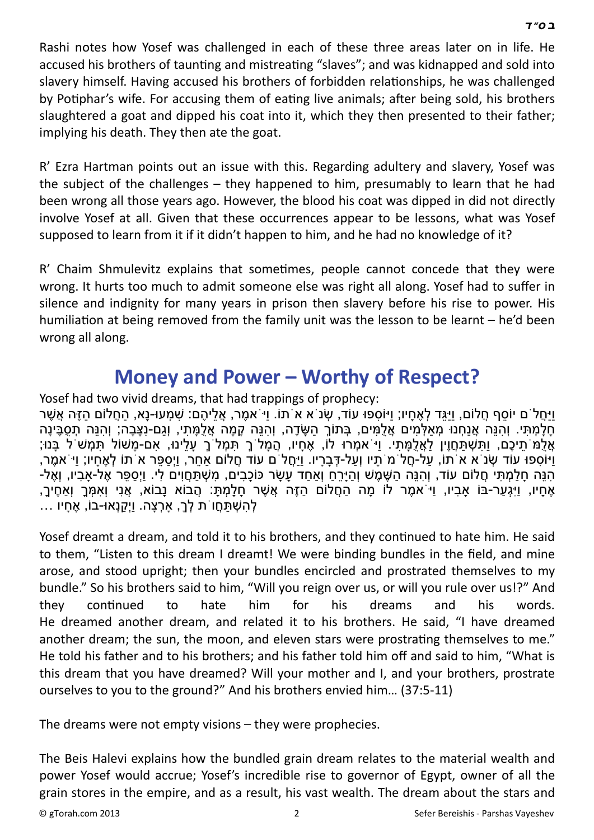Rashi notes how Yosef was challenged in each of these three areas later on in life. He accused his brothers of taunting and mistreating "slaves"; and was kidnapped and sold into slavery himself. Having accused his brothers of forbidden relationships, he was challenged by Potiphar's wife. For accusing them of eating live animals; after being sold, his brothers slaughtered a goat and dipped his coat into it, which they then presented to their father; implying his death. They then ate the goat.

R' Ezra Hartman points out an issue with this. Regarding adultery and slavery, Yosef was the subject of the challenges – they happened to him, presumably to learn that he had been wrong all those years ago. However, the blood his coat was dipped in did not directly involve Yosef at all. Given that these occurrences appear to be lessons, what was Yosef supposed to learn from it if it didn't happen to him, and he had no knowledge of it?

R' Chaim Shmulevitz explains that sometimes, people cannot concede that they were wrong. It hurts too much to admit someone else was right all along. Yosef had to suffer in silence and indignity for many years in prison then slavery before his rise to power. His humiliation at being removed from the family unit was the lesson to be learnt – he'd been wrong all along.

#### **[Money and Power – Worthy of Respect?](http://gtorah.com/2011/12/14/1938/)**

Yosef had two vivid dreams, that had trappings of prophecy:

וַיִּחֲלֹ ם יוֹסִף חֲלוֹם, וִיּגִּד לְאֶחִיוֹ; וַיּוֹסִפוּ עוֹד, שִׂנֹ א אֹתוֹ. וַיֹּאמֵר, אֲלִיהֶם: שַׁמְּעוּ-נַא, הַחֲלוֹם הַזֶּה אֲשֶׁר ּחָלָמְתִּי. וְהִנֵּה אֲנַחְנוּ מְאַלְמִים אֲלֻמִּים, בְּתוֹךְ הַשָּׂדֶה, וְהִנֵּה קָמָה אֲלֻמָּתִי, וְגַם-נִצָּבָה; וְהִנֵּה תִסֶבֵּינַה ָאֲלֶמֹ תִיכֶם, וִתְשָׁתַּחֲוֶין לֹאֱלֹמַתִּי. וִי אִמְרוּ לוֹ, אֶחִיו, הֲמִל ךָ תִּמְל ךָ עָלִינוּ, אִם-מַשּׁוֹל תִּמְשֹׁ לֹ בֵּנוּ; וַיּוֹסִפוּ עוֹד שְׂנֹ א א<sup>ֹ</sup>תוֹ, עַל-חֲל מ´תָיו וְעַל-דְּבָרָיו. וַיַּחֲל ם עוֹד חֲלוֹם אַחֵר, וַיְסַפֵּר א<sup>ַ</sup>תוֹ לְאֶחַיו; וַיֹּ אמֵר, ּהָנֵּה חָלַמְתִּי חֲלוֹם עוֹד, וְהִנֵּה הַשֶּׁמֶשׁ וְהַיַּרֵחַ וְאַחַד עַשַׂר כּוֹכָבִים, מֹשִׁתּחֵוּים לִי. ויִספּר אֵל-אביו, וְאֵל-אֶחָיו, וַיִּגְעַר-בּוֹ אָבִיו, וַי<sup>ֹ</sup>אמֶר לוֹ מָה הַחֲלוֹם הַזֶּה אֲשֶׁר חָלָמְתָּ: הֲבוֹא נָבוֹא, אֲנִי וְאִמְּךָ וְאַחֶיךָ, לְהִ שְׁ תַּ חֲ וֹת לְָך, אָרְ צָה. וַיְקַ נְאוּ -בוֹ, אֶ חָ יו ...

Yosef dreamt a dream, and told it to his brothers, and they continued to hate him. He said to them, "Listen to this dream I dreamt! We were binding bundles in the field, and mine arose, and stood upright; then your bundles encircled and prostrated themselves to my bundle." So his brothers said to him, "Will you reign over us, or will you rule over us!?" And they conƟnued to hate him for his dreams and his words. He dreamed another dream, and related it to his brothers. He said, "I have dreamed another dream; the sun, the moon, and eleven stars were prostrating themselves to me." He told his father and to his brothers; and his father told him off and said to him, "What is this dream that you have dreamed? Will your mother and I, and your brothers, prostrate ourselves to you to the ground?" And his brothers envied him… (37:5-11)

The dreams were not empty visions – they were prophecies.

The Beis Halevi explains how the bundled grain dream relates to the material wealth and power Yosef would accrue; Yosef's incredible rise to governor of Egypt, owner of all the grain stores in the empire, and as a result, his vast wealth. The dream about the stars and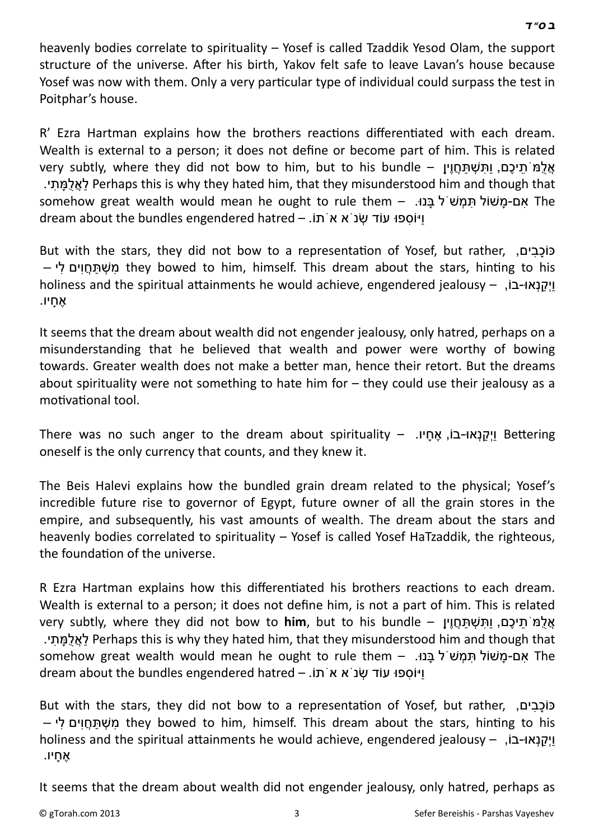heavenly bodies correlate to spirituality – Yosef is called Tzaddik Yesod Olam, the support structure of the universe. After his birth, Yakov felt safe to leave Lavan's house because Yosef was now with them. Only a very particular type of individual could surpass the test in Poitphar's house.

R' Ezra Hartman explains how the brothers reactions differentiated with each dream. Wealth is external to a person; it does not define or become part of him. This is related אֲלָמֹּתִיכֶם, ותִּשְׁתַחֲוֶין – very subtly, where they did not bow to him, but to his bundle .י ִת ָמֻּל ֲאַל Perhaps this is why they hated him, that they misunderstood him and though that somehow great wealth would mean he ought to rule them – .נוּ ַ רֹבּנוּ The dream about the bundles engendered hatred – ויוֹספוּ עוֹד שְׂנ<sup>י</sup>א א תוֹ.

But with the stars, they did not bow to a representation of Yosef, but rather, ,פוֹכְבים – מִשְׁתּחֵוּם לי they bowed to him, himself. This dream about the stars, hinting to his holiness and the spiritual attainments he would achieve, engendered jealousy – ,ויַקְנָאו-בוֹ אָ ֶ חיו.

It seems that the dream about wealth did not engender jealousy, only hatred, perhaps on a misunderstanding that he believed that wealth and power were worthy of bowing towards. Greater wealth does not make a better man, hence their retort. But the dreams about spirituality were not something to hate him for – they could use their jealousy as a motivational tool.

There was no such anger to the dream about spirituality – .יקנאו-בוֹ, אֶחַיו. here was no such anger to the dream about spirituality – oneself is the only currency that counts, and they knew it.

The Beis Halevi explains how the bundled grain dream related to the physical; Yosef's incredible future rise to governor of Egypt, future owner of all the grain stores in the empire, and subsequently, his vast amounts of wealth. The dream about the stars and heavenly bodies correlated to spirituality – Yosef is called Yosef HaTzaddik, the righteous, the foundation of the universe.

R Ezra Hartman explains how this differentiated his brothers reactions to each dream. Wealth is external to a person; it does not define him, is not a part of him. This is related אֲלָמ<sup>ּ</sup>תִיכָם, ותִּשִׁתְּחֵוִין – very subtly, where they did not bow to him, but to his bundle

 .י ִת ָמֻּל ֲאַל Perhaps this is why they hated him, that they misunderstood him and though that somehow great wealth would mean he ought to rule them – .נוּ ַ ְתַּמְשׁ ל בַּנוּ The dream about the bundles engendered hatred – ויוֹספוּ עוֹד שׂנ<sup>י</sup>א א<sup>י</sup>תוֹ.

But with the stars, they did not bow to a representation of Yosef, but rather, ,פֿוֹכָבים – מֹשָׁתּחֵוּים לי they bowed to him, himself. This dream about the stars, hinting to his holiness and the spiritual attainments he would achieve, engendered jealousy – ,וֹקַנְאו-בוֹ אֶ חָ יו.

It seems that the dream about wealth did not engender jealousy, only hatred, perhaps as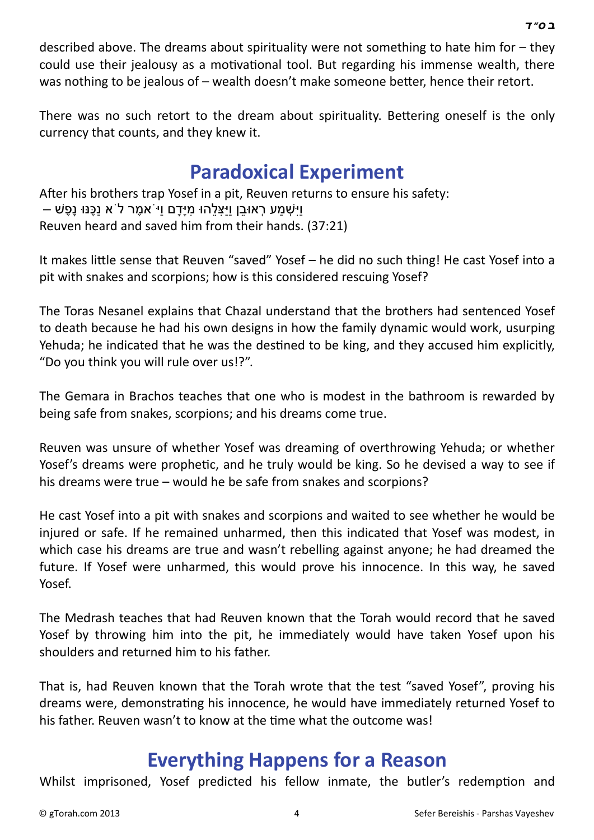described above. The dreams about spirituality were not something to hate him for – they could use their jealousy as a motivational tool. But regarding his immense wealth, there was nothing to be jealous of  $-$  wealth doesn't make someone better, hence their retort.

There was no such retort to the dream about spirituality. Bettering oneself is the only currency that counts, and they knew it.

## **[Paradoxical Experiment](http://gtorah.com/2010/11/26/true-modesty/)**

After his brothers trap Yosef in a pit, Reuven returns to ensure his safety: וּיִשָּׁמַע רְאוּבַן ויִיצַלהוּ מַיַּדַם וי<sup>ַ</sup>אמֶר ל<sup>י</sup>א נַכֶּנּוּ נַפֶשׁ – Reuven heard and saved him from their hands. (37:21)

It makes little sense that Reuven "saved" Yosef - he did no such thing! He cast Yosef into a pit with snakes and scorpions; how is this considered rescuing Yosef?

The Toras Nesanel explains that Chazal understand that the brothers had sentenced Yosef to death because he had his own designs in how the family dynamic would work, usurping Yehuda; he indicated that he was the destined to be king, and they accused him explicitly, "Do you think you will rule over us!?".

The Gemara in Brachos teaches that one who is modest in the bathroom is rewarded by being safe from snakes, scorpions; and his dreams come true.

Reuven was unsure of whether Yosef was dreaming of overthrowing Yehuda; or whether Yosef's dreams were prophetic, and he truly would be king. So he devised a way to see if his dreams were true – would he be safe from snakes and scorpions?

He cast Yosef into a pit with snakes and scorpions and waited to see whether he would be injured or safe. If he remained unharmed, then this indicated that Yosef was modest, in which case his dreams are true and wasn't rebelling against anyone; he had dreamed the future. If Yosef were unharmed, this would prove his innocence. In this way, he saved Yosef.

The Medrash teaches that had Reuven known that the Torah would record that he saved Yosef by throwing him into the pit, he immediately would have taken Yosef upon his shoulders and returned him to his father.

That is, had Reuven known that the Torah wrote that the test "saved Yosef", proving his dreams were, demonstrating his innocence, he would have immediately returned Yosef to his father. Reuven wasn't to know at the time what the outcome was!

### **[Everything Happens for a Reason](http://gtorah.com/2009/12/10/because-that-if/)**

Whilst imprisoned, Yosef predicted his fellow inmate, the butler's redemption and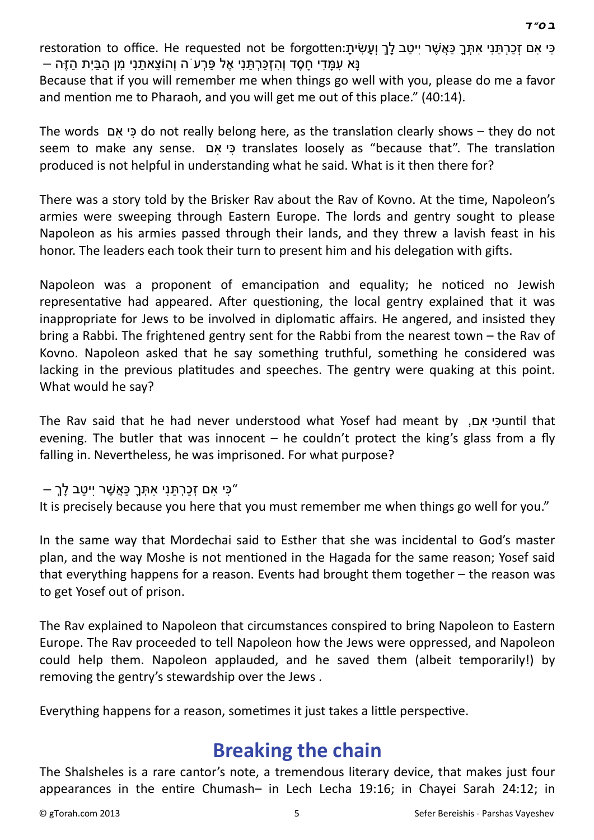restoration to office. He requested not be forgotten:פִּי אִתְּ כַּאֲשֶׁר יִיטַב לַךְ וְעָשִׂיתַ - נַּא עָמַדִי חָסֶד וְהִזְכַּרְתַּנִי אֵל פּרְע<sup>ִ</sup> ה וְהוֹצַאתני מן הבּית הזה

Because that if you will remember me when things go well with you, please do me a favor and mention me to Pharaoh, and you will get me out of this place." (40:14).

The words ם ִא יִכּ do not really belong here, as the translaƟon clearly shows – they do not seem to make any sense. כי אם translates loosely as "because that". The translation produced is not helpful in understanding what he said. What is it then there for?

There was a story told by the Brisker Rav about the Rav of Kovno. At the time, Napoleon's armies were sweeping through Eastern Europe. The lords and gentry sought to please Napoleon as his armies passed through their lands, and they threw a lavish feast in his honor. The leaders each took their turn to present him and his delegation with gifts.

Napoleon was a proponent of emancipation and equality; he noticed no Jewish representative had appeared. After questioning, the local gentry explained that it was inappropriate for Jews to be involved in diplomatic affairs. He angered, and insisted they bring a Rabbi. The frightened gentry sent for the Rabbi from the nearest town – the Rav of Kovno. Napoleon asked that he say something truthful, something he considered was lacking in the previous platitudes and speeches. The gentry were quaking at this point. What would he say?

The Rav said that he had never understood what Yosef had meant by יאם, אם evening. The butler that was innocent  $-$  he couldn't protect the king's glass from a fly falling in. Nevertheless, he was imprisoned. For what purpose?

"כִּי אִ ם זְכַרְ תַּ נִי אִ תָּ ְ ך כַּאֲ שֶׁ ר יִיטַ ב לְָך –

It is precisely because you here that you must remember me when things go well for you."

In the same way that Mordechai said to Esther that she was incidental to God's master plan, and the way Moshe is not mentioned in the Hagada for the same reason; Yosef said that everything happens for a reason. Events had brought them together – the reason was to get Yosef out of prison.

The Rav explained to Napoleon that circumstances conspired to bring Napoleon to Eastern Europe. The Rav proceeded to tell Napoleon how the Jews were oppressed, and Napoleon could help them. Napoleon applauded, and he saved them (albeit temporarily!) by removing the gentry's stewardship over the Jews .

Everything happens for a reason, sometimes it just takes a little perspective.

#### **[Breaking the chain](http://gtorah.com/2009/11/02/breaking-the-chain/)**

The Shalsheles is a rare cantor's note, a tremendous literary device, that makes just four appearances in the entire Chumash– in Lech Lecha 19:16; in Chayei Sarah 24:12; in